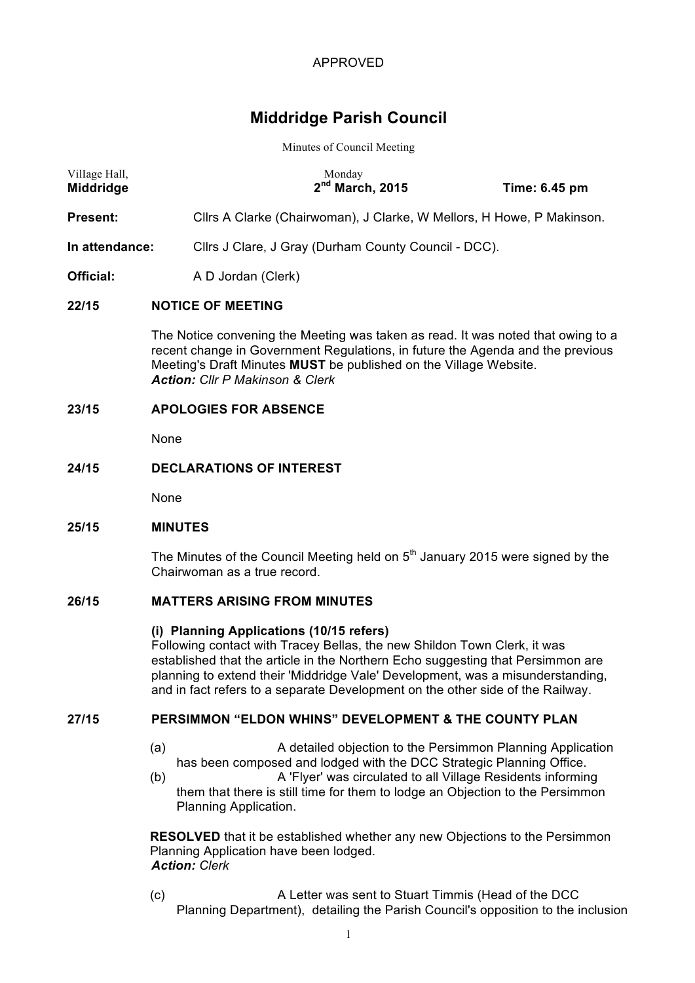# **Middridge Parish Council**

#### Minutes of Council Meeting

| Village Hall,<br>Middridge | Monday<br>2 <sup>nd</sup> March, 2015                                 | Time: 6.45 pm |
|----------------------------|-----------------------------------------------------------------------|---------------|
| Present:                   | Cllrs A Clarke (Chairwoman), J Clarke, W Mellors, H Howe, P Makinson. |               |
| In attendance:             | Cllrs J Clare, J Gray (Durham County Council - DCC).                  |               |
| Official:                  | A D Jordan (Clerk)                                                    |               |

## **22/15 NOTICE OF MEETING**

The Notice convening the Meeting was taken as read. It was noted that owing to a recent change in Government Regulations, in future the Agenda and the previous Meeting's Draft Minutes **MUST** be published on the Village Website. *Action: Cllr P Makinson & Clerk*

## **23/15 APOLOGIES FOR ABSENCE**

None

## **24/15 DECLARATIONS OF INTEREST**

None

#### **25/15 MINUTES**

The Minutes of the Council Meeting held on  $5<sup>th</sup>$  January 2015 were signed by the Chairwoman as a true record.

# **26/15 MATTERS ARISING FROM MINUTES**

#### **(i) Planning Applications (10/15 refers)**

Following contact with Tracey Bellas, the new Shildon Town Clerk, it was established that the article in the Northern Echo suggesting that Persimmon are planning to extend their 'Middridge Vale' Development, was a misunderstanding, and in fact refers to a separate Development on the other side of the Railway.

#### **27/15 PERSIMMON "ELDON WHINS" DEVELOPMENT & THE COUNTY PLAN**

- (a) A detailed objection to the Persimmon Planning Application has been composed and lodged with the DCC Strategic Planning Office.
- (b) A 'Flyer' was circulated to all Village Residents informing them that there is still time for them to lodge an Objection to the Persimmon Planning Application.

**RESOLVED** that it be established whether any new Objections to the Persimmon Planning Application have been lodged. *Action: Clerk*

(c) A Letter was sent to Stuart Timmis (Head of the DCC Planning Department), detailing the Parish Council's opposition to the inclusion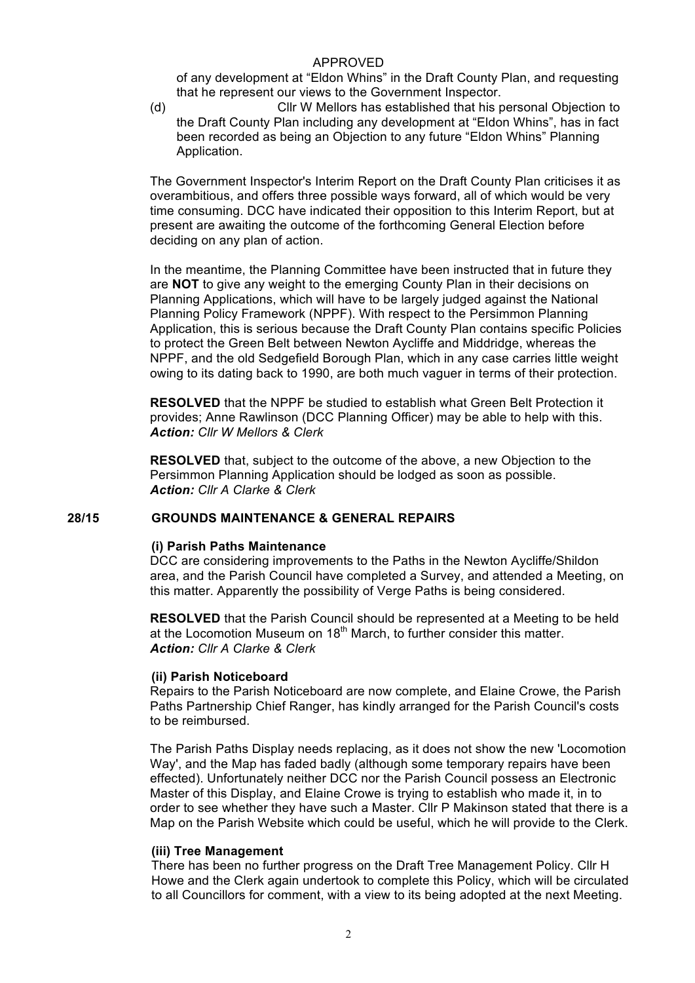of any development at "Eldon Whins" in the Draft County Plan, and requesting that he represent our views to the Government Inspector.

(d) Cllr W Mellors has established that his personal Objection to the Draft County Plan including any development at "Eldon Whins", has in fact been recorded as being an Objection to any future "Eldon Whins" Planning Application.

The Government Inspector's Interim Report on the Draft County Plan criticises it as overambitious, and offers three possible ways forward, all of which would be very time consuming. DCC have indicated their opposition to this Interim Report, but at present are awaiting the outcome of the forthcoming General Election before deciding on any plan of action.

In the meantime, the Planning Committee have been instructed that in future they are **NOT** to give any weight to the emerging County Plan in their decisions on Planning Applications, which will have to be largely judged against the National Planning Policy Framework (NPPF). With respect to the Persimmon Planning Application, this is serious because the Draft County Plan contains specific Policies to protect the Green Belt between Newton Aycliffe and Middridge, whereas the NPPF, and the old Sedgefield Borough Plan, which in any case carries little weight owing to its dating back to 1990, are both much vaguer in terms of their protection.

**RESOLVED** that the NPPF be studied to establish what Green Belt Protection it provides; Anne Rawlinson (DCC Planning Officer) may be able to help with this. *Action: Cllr W Mellors & Clerk*

**RESOLVED** that, subject to the outcome of the above, a new Objection to the Persimmon Planning Application should be lodged as soon as possible. *Action: Cllr A Clarke & Clerk*

## **28/15 GROUNDS MAINTENANCE & GENERAL REPAIRS**

#### **(i) Parish Paths Maintenance**

DCC are considering improvements to the Paths in the Newton Aycliffe/Shildon area, and the Parish Council have completed a Survey, and attended a Meeting, on this matter. Apparently the possibility of Verge Paths is being considered.

**RESOLVED** that the Parish Council should be represented at a Meeting to be held at the Locomotion Museum on  $18<sup>th</sup>$  March, to further consider this matter. *Action: Cllr A Clarke & Clerk*

#### **(ii) Parish Noticeboard**

Repairs to the Parish Noticeboard are now complete, and Elaine Crowe, the Parish Paths Partnership Chief Ranger, has kindly arranged for the Parish Council's costs to be reimbursed.

The Parish Paths Display needs replacing, as it does not show the new 'Locomotion Way', and the Map has faded badly (although some temporary repairs have been effected). Unfortunately neither DCC nor the Parish Council possess an Electronic Master of this Display, and Elaine Crowe is trying to establish who made it, in to order to see whether they have such a Master. Cllr P Makinson stated that there is a Map on the Parish Website which could be useful, which he will provide to the Clerk.

#### **(iii) Tree Management**

There has been no further progress on the Draft Tree Management Policy. Cllr H Howe and the Clerk again undertook to complete this Policy, which will be circulated to all Councillors for comment, with a view to its being adopted at the next Meeting.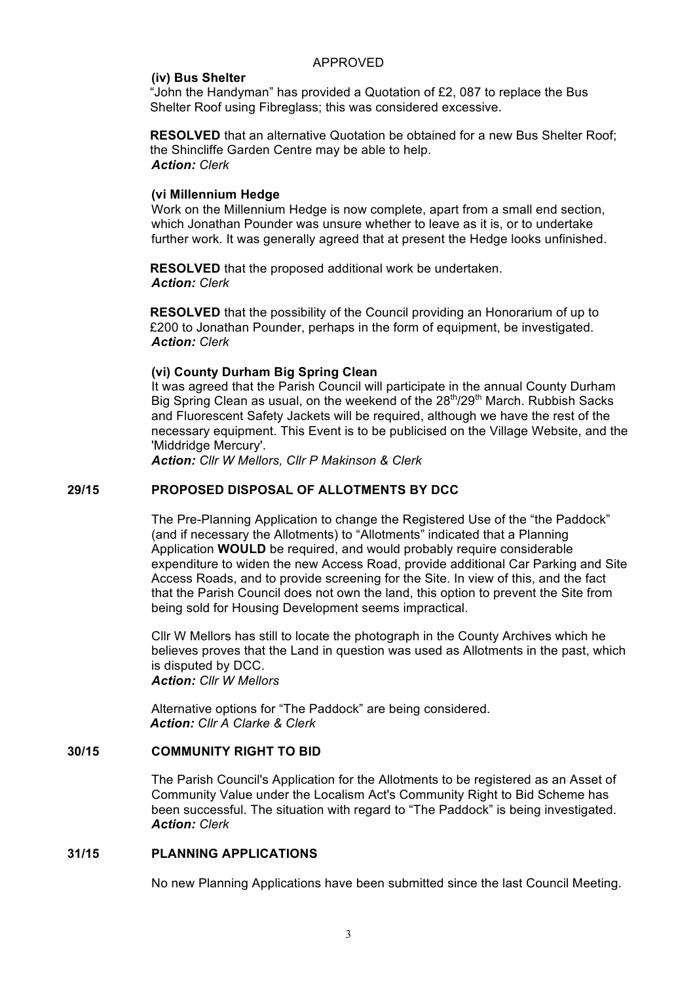#### **(iv) Bus Shelter**

"John the Handyman" has provided a Quotation of £2, 087 to replace the Bus Shelter Roof using Fibreglass; this was considered excessive.

**RESOLVED** that an alternative Quotation be obtained for a new Bus Shelter Roof: the Shincliffe Garden Centre may be able to help. *Action: Clerk*

#### **(vi Millennium Hedge**

Work on the Millennium Hedge is now complete, apart from a small end section, which Jonathan Pounder was unsure whether to leave as it is, or to undertake further work. It was generally agreed that at present the Hedge looks unfinished.

**RESOLVED** that the proposed additional work be undertaken. *Action: Clerk*

**RESOLVED** that the possibility of the Council providing an Honorarium of up to £200 to Jonathan Pounder, perhaps in the form of equipment, be investigated. *Action: Clerk*

#### **(vi) County Durham Big Spring Clean**

It was agreed that the Parish Council will participate in the annual County Durham Big Spring Clean as usual, on the weekend of the  $28<sup>th</sup>/29<sup>th</sup>$  March. Rubbish Sacks and Fluorescent Safety Jackets will be required, although we have the rest of the necessary equipment. This Event is to be publicised on the Village Website, and the 'Middridge Mercury'.

*Action: Cllr W Mellors, Cllr P Makinson & Clerk*

#### **29/15 PROPOSED DISPOSAL OF ALLOTMENTS BY DCC**

The Pre-Planning Application to change the Registered Use of the "the Paddock" (and if necessary the Allotments) to "Allotments" indicated that a Planning Application **WOULD** be required, and would probably require considerable expenditure to widen the new Access Road, provide additional Car Parking and Site Access Roads, and to provide screening for the Site. In view of this, and the fact that the Parish Council does not own the land, this option to prevent the Site from being sold for Housing Development seems impractical.

Cllr W Mellors has still to locate the photograph in the County Archives which he believes proves that the Land in question was used as Allotments in the past, which is disputed by DCC.

*Action: Cllr W Mellors*

Alternative options for "The Paddock" are being considered. *Action: Cllr A Clarke & Clerk*

### **30/15 COMMUNITY RIGHT TO BID**

The Parish Council's Application for the Allotments to be registered as an Asset of Community Value under the Localism Act's Community Right to Bid Scheme has been successful. The situation with regard to "The Paddock" is being investigated. *Action: Clerk*

#### **31/15 PLANNING APPLICATIONS**

No new Planning Applications have been submitted since the last Council Meeting.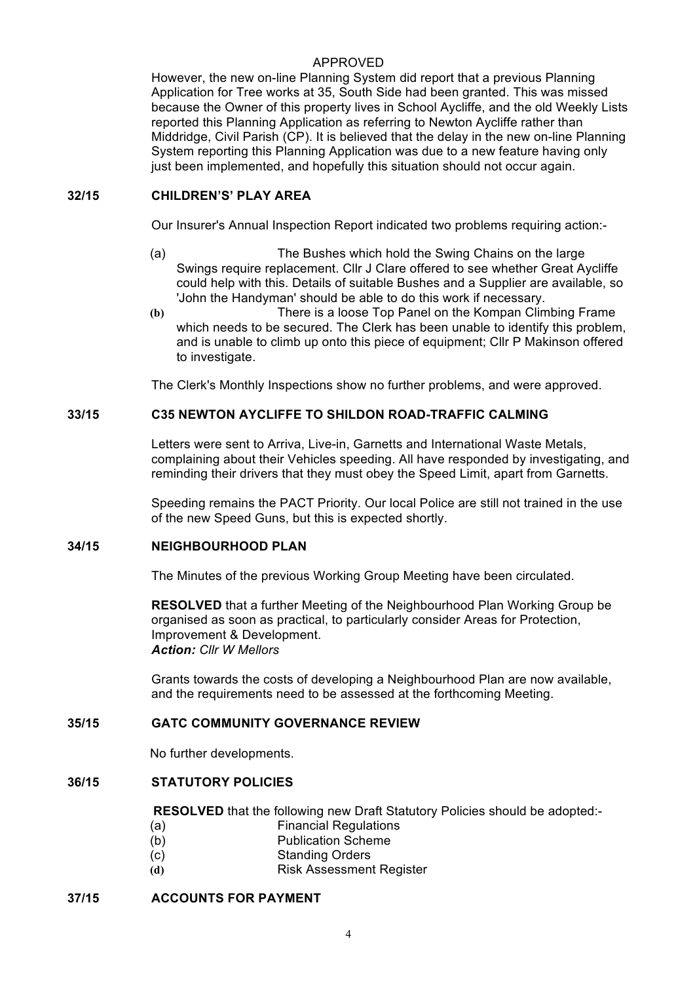However, the new on-line Planning System did report that a previous Planning Application for Tree works at 35, South Side had been granted. This was missed because the Owner of this property lives in School Aycliffe, and the old Weekly Lists reported this Planning Application as referring to Newton Aycliffe rather than Middridge, Civil Parish (CP). It is believed that the delay in the new on-line Planning System reporting this Planning Application was due to a new feature having only just been implemented, and hopefully this situation should not occur again.

# **32/15 CHILDREN'S' PLAY AREA**

Our Insurer's Annual Inspection Report indicated two problems requiring action:-

- (a) The Bushes which hold the Swing Chains on the large Swings require replacement. Cllr J Clare offered to see whether Great Aycliffe could help with this. Details of suitable Bushes and a Supplier are available, so 'John the Handyman' should be able to do this work if necessary.
- **(b)** There is a loose Top Panel on the Kompan Climbing Frame which needs to be secured. The Clerk has been unable to identify this problem, and is unable to climb up onto this piece of equipment; Cllr P Makinson offered to investigate.

The Clerk's Monthly Inspections show no further problems, and were approved.

# **33/15 C35 NEWTON AYCLIFFE TO SHILDON ROAD-TRAFFIC CALMING**

Letters were sent to Arriva, Live-in, Garnetts and International Waste Metals, complaining about their Vehicles speeding. All have responded by investigating, and reminding their drivers that they must obey the Speed Limit, apart from Garnetts.

Speeding remains the PACT Priority. Our local Police are still not trained in the use of the new Speed Guns, but this is expected shortly.

## **34/15 NEIGHBOURHOOD PLAN**

The Minutes of the previous Working Group Meeting have been circulated.

**RESOLVED** that a further Meeting of the Neighbourhood Plan Working Group be organised as soon as practical, to particularly consider Areas for Protection, Improvement & Development. *Action: Cllr W Mellors*

Grants towards the costs of developing a Neighbourhood Plan are now available, and the requirements need to be assessed at the forthcoming Meeting.

# **35/15 GATC COMMUNITY GOVERNANCE REVIEW**

No further developments.

## **36/15 STATUTORY POLICIES**

**RESOLVED** that the following new Draft Statutory Policies should be adopted:-

- (a) Financial Regulations
- (b) Publication Scheme
- (c) Standing Orders
- **(d)** Risk Assessment Register

#### **37/15 ACCOUNTS FOR PAYMENT**